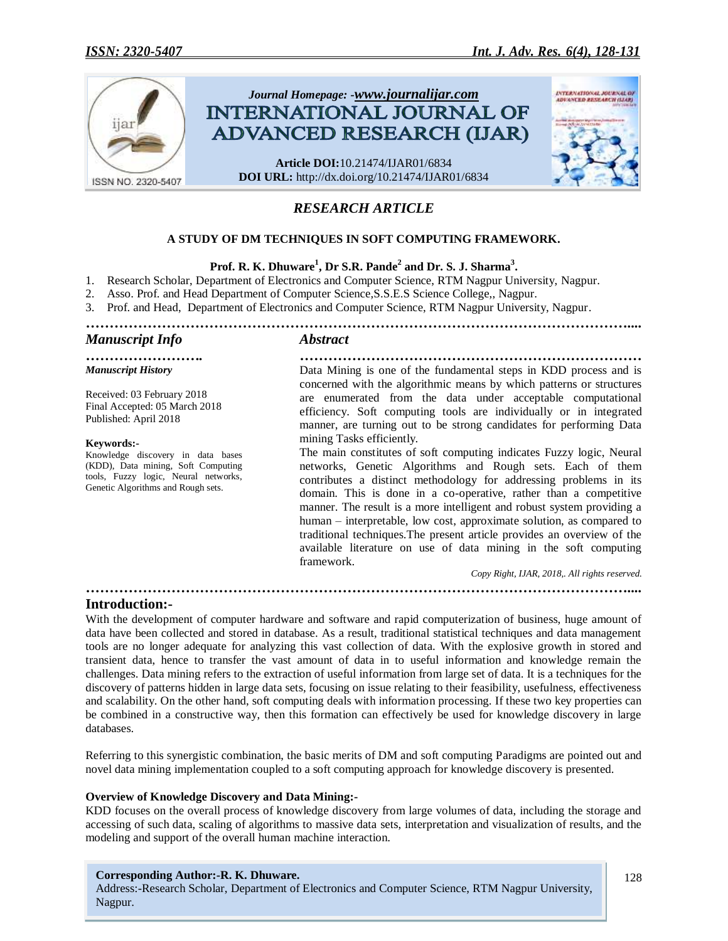

# *RESEARCH ARTICLE*

# **A STUDY OF DM TECHNIQUES IN SOFT COMPUTING FRAMEWORK.**

# **Prof. R. K. Dhuware<sup>1</sup> , Dr S.R. Pande<sup>2</sup> and Dr. S. J. Sharma<sup>3</sup> .**

- 1. Research Scholar, Department of Electronics and Computer Science, RTM Nagpur University, Nagpur.
- 2. Asso. Prof. and Head Department of Computer Science,S.S.E.S Science College,, Nagpur.
- 3. Prof. and Head, Department of Electronics and Computer Science, RTM Nagpur University, Nagpur.

*……………………………………………………………………………………………………....*

### *Manuscript Info Abstract*

*Manuscript History*

Received: 03 February 2018 Final Accepted: 05 March 2018 Published: April 2018

#### **Keywords:-**

Knowledge discovery in data bases (KDD), Data mining, Soft Computing tools, Fuzzy logic, Neural networks, Genetic Algorithms and Rough sets.

*……………………. ………………………………………………………………* Data Mining is one of the fundamental steps in KDD process and is concerned with the algorithmic means by which patterns or structures are enumerated from the data under acceptable computational efficiency. Soft computing tools are individually or in integrated manner, are turning out to be strong candidates for performing Data mining Tasks efficiently.

> The main constitutes of soft computing indicates Fuzzy logic, Neural networks, Genetic Algorithms and Rough sets. Each of them contributes a distinct methodology for addressing problems in its domain. This is done in a co-operative, rather than a competitive manner. The result is a more intelligent and robust system providing a human – interpretable, low cost, approximate solution, as compared to traditional techniques.The present article provides an overview of the available literature on use of data mining in the soft computing framework.

*Copy Right, IJAR, 2018,. All rights reserved.*

#### **Introduction:-**

With the development of computer hardware and software and rapid computerization of business, huge amount of data have been collected and stored in database. As a result, traditional statistical techniques and data management tools are no longer adequate for analyzing this vast collection of data. With the explosive growth in stored and transient data, hence to transfer the vast amount of data in to useful information and knowledge remain the challenges. Data mining refers to the extraction of useful information from large set of data. It is a techniques for the discovery of patterns hidden in large data sets, focusing on issue relating to their feasibility, usefulness, effectiveness and scalability. On the other hand, soft computing deals with information processing. If these two key properties can be combined in a constructive way, then this formation can effectively be used for knowledge discovery in large databases.

*……………………………………………………………………………………………………....*

Referring to this synergistic combination, the basic merits of DM and soft computing Paradigms are pointed out and novel data mining implementation coupled to a soft computing approach for knowledge discovery is presented.

#### **Overview of Knowledge Discovery and Data Mining:-**

KDD focuses on the overall process of knowledge discovery from large volumes of data, including the storage and accessing of such data, scaling of algorithms to massive data sets, interpretation and visualization of results, and the modeling and support of the overall human machine interaction.

#### **Corresponding Author:-R. K. Dhuware.**

Address:-Research Scholar, Department of Electronics and Computer Science, RTM Nagpur University, Nagpur.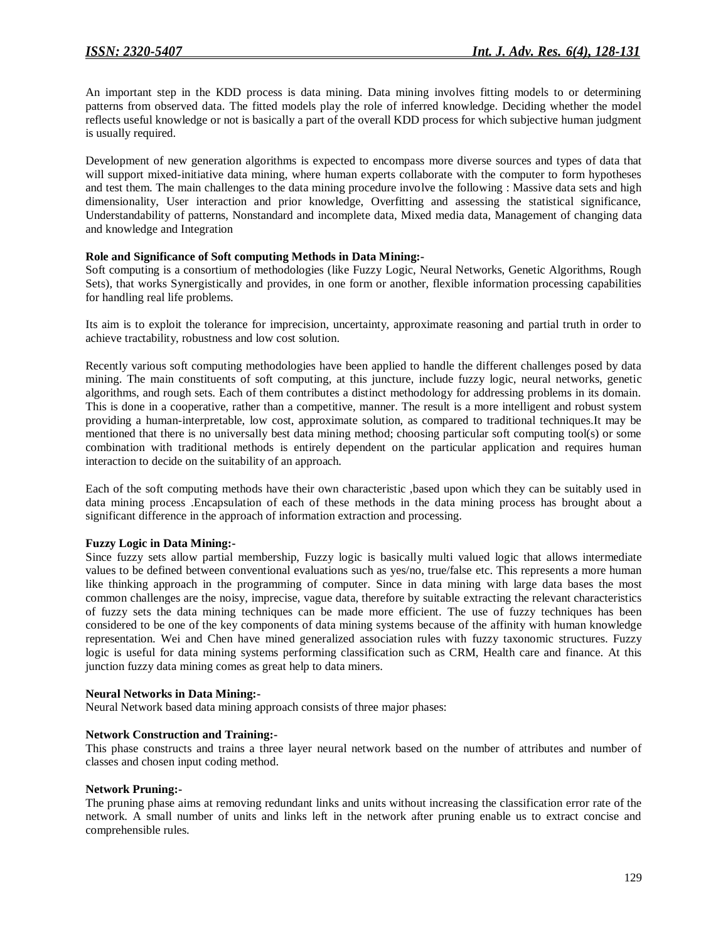An important step in the KDD process is data mining. Data mining involves fitting models to or determining patterns from observed data. The fitted models play the role of inferred knowledge. Deciding whether the model reflects useful knowledge or not is basically a part of the overall KDD process for which subjective human judgment is usually required.

Development of new generation algorithms is expected to encompass more diverse sources and types of data that will support mixed-initiative data mining, where human experts collaborate with the computer to form hypotheses and test them. The main challenges to the data mining procedure involve the following : Massive data sets and high dimensionality, User interaction and prior knowledge, Overfitting and assessing the statistical significance, Understandability of patterns, Nonstandard and incomplete data, Mixed media data, Management of changing data and knowledge and Integration

### **Role and Significance of Soft computing Methods in Data Mining:-**

Soft computing is a consortium of methodologies (like Fuzzy Logic, Neural Networks, Genetic Algorithms, Rough Sets), that works Synergistically and provides, in one form or another, flexible information processing capabilities for handling real life problems.

Its aim is to exploit the tolerance for imprecision, uncertainty, approximate reasoning and partial truth in order to achieve tractability, robustness and low cost solution.

Recently various soft computing methodologies have been applied to handle the different challenges posed by data mining. The main constituents of soft computing, at this juncture, include fuzzy logic, neural networks, genetic algorithms, and rough sets. Each of them contributes a distinct methodology for addressing problems in its domain. This is done in a cooperative, rather than a competitive, manner. The result is a more intelligent and robust system providing a human-interpretable, low cost, approximate solution, as compared to traditional techniques.It may be mentioned that there is no universally best data mining method; choosing particular soft computing tool(s) or some combination with traditional methods is entirely dependent on the particular application and requires human interaction to decide on the suitability of an approach.

Each of the soft computing methods have their own characteristic ,based upon which they can be suitably used in data mining process .Encapsulation of each of these methods in the data mining process has brought about a significant difference in the approach of information extraction and processing.

#### **Fuzzy Logic in Data Mining:-**

Since fuzzy sets allow partial membership, Fuzzy logic is basically multi valued logic that allows intermediate values to be defined between conventional evaluations such as yes/no, true/false etc. This represents a more human like thinking approach in the programming of computer. Since in data mining with large data bases the most common challenges are the noisy, imprecise, vague data, therefore by suitable extracting the relevant characteristics of fuzzy sets the data mining techniques can be made more efficient. The use of fuzzy techniques has been considered to be one of the key components of data mining systems because of the affinity with human knowledge representation. Wei and Chen have mined generalized association rules with fuzzy taxonomic structures. Fuzzy logic is useful for data mining systems performing classification such as CRM, Health care and finance. At this junction fuzzy data mining comes as great help to data miners.

#### **Neural Networks in Data Mining:-**

Neural Network based data mining approach consists of three major phases:

#### **Network Construction and Training:-**

This phase constructs and trains a three layer neural network based on the number of attributes and number of classes and chosen input coding method.

#### **Network Pruning:-**

The pruning phase aims at removing redundant links and units without increasing the classification error rate of the network. A small number of units and links left in the network after pruning enable us to extract concise and comprehensible rules.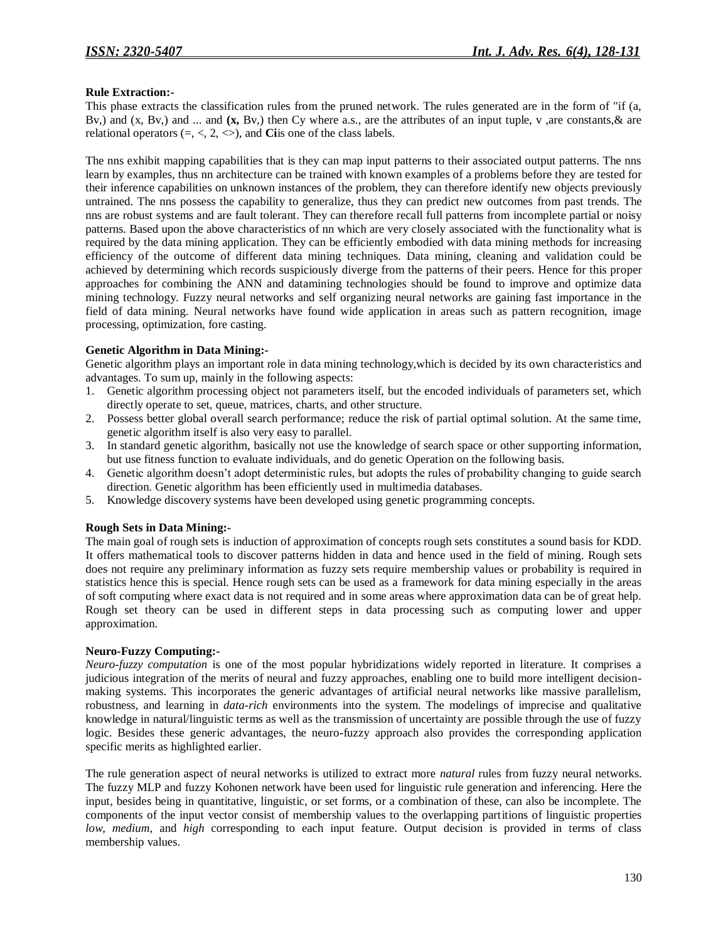### **Rule Extraction:-**

This phase extracts the classification rules from the pruned network. The rules generated are in the form of "if (a, Bv,) and (x, Bv,) and ... and **(x,** Bv,) then Cy where a.s., are the attributes of an input tuple, v ,are constants,& are relational operators  $(=, <, 2, <)$ , and **Ci**is one of the class labels.

The nns exhibit mapping capabilities that is they can map input patterns to their associated output patterns. The nns learn by examples, thus nn architecture can be trained with known examples of a problems before they are tested for their inference capabilities on unknown instances of the problem, they can therefore identify new objects previously untrained. The nns possess the capability to generalize, thus they can predict new outcomes from past trends. The nns are robust systems and are fault tolerant. They can therefore recall full patterns from incomplete partial or noisy patterns. Based upon the above characteristics of nn which are very closely associated with the functionality what is required by the data mining application. They can be efficiently embodied with data mining methods for increasing efficiency of the outcome of different data mining techniques. Data mining, cleaning and validation could be achieved by determining which records suspiciously diverge from the patterns of their peers. Hence for this proper approaches for combining the ANN and datamining technologies should be found to improve and optimize data mining technology. Fuzzy neural networks and self organizing neural networks are gaining fast importance in the field of data mining. Neural networks have found wide application in areas such as pattern recognition, image processing, optimization, fore casting.

## **Genetic Algorithm in Data Mining:-**

Genetic algorithm plays an important role in data mining technology,which is decided by its own characteristics and advantages. To sum up, mainly in the following aspects:

- 1. Genetic algorithm processing object not parameters itself, but the encoded individuals of parameters set, which directly operate to set, queue, matrices, charts, and other structure.
- 2. Possess better global overall search performance; reduce the risk of partial optimal solution. At the same time, genetic algorithm itself is also very easy to parallel.
- 3. In standard genetic algorithm, basically not use the knowledge of search space or other supporting information, but use fitness function to evaluate individuals, and do genetic Operation on the following basis.
- 4. Genetic algorithm doesn't adopt deterministic rules, but adopts the rules of probability changing to guide search direction. Genetic algorithm has been efficiently used in multimedia databases.
- 5. Knowledge discovery systems have been developed using genetic programming concepts.

#### **Rough Sets in Data Mining:-**

The main goal of rough sets is induction of approximation of concepts rough sets constitutes a sound basis for KDD. It offers mathematical tools to discover patterns hidden in data and hence used in the field of mining. Rough sets does not require any preliminary information as fuzzy sets require membership values or probability is required in statistics hence this is special. Hence rough sets can be used as a framework for data mining especially in the areas of soft computing where exact data is not required and in some areas where approximation data can be of great help. Rough set theory can be used in different steps in data processing such as computing lower and upper approximation.

#### **Neuro-Fuzzy Computing:-**

*Neuro-fuzzy computation* is one of the most popular hybridizations widely reported in literature. It comprises a judicious integration of the merits of neural and fuzzy approaches, enabling one to build more intelligent decisionmaking systems. This incorporates the generic advantages of artificial neural networks like massive parallelism, robustness, and learning in *data-rich* environments into the system. The modelings of imprecise and qualitative knowledge in natural/linguistic terms as well as the transmission of uncertainty are possible through the use of fuzzy logic. Besides these generic advantages, the neuro-fuzzy approach also provides the corresponding application specific merits as highlighted earlier.

The rule generation aspect of neural networks is utilized to extract more *natural* rules from fuzzy neural networks. The fuzzy MLP and fuzzy Kohonen network have been used for linguistic rule generation and inferencing. Here the input, besides being in quantitative, linguistic, or set forms, or a combination of these, can also be incomplete. The components of the input vector consist of membership values to the overlapping partitions of linguistic properties *low, medium,* and *high* corresponding to each input feature. Output decision is provided in terms of class membership values.